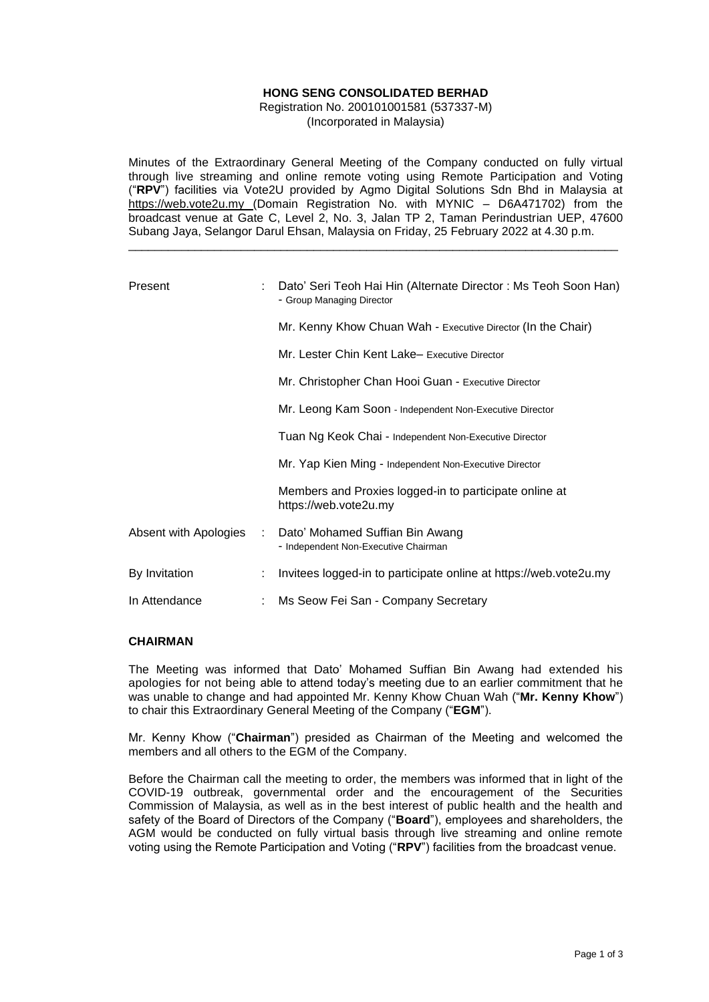# **HONG SENG CONSOLIDATED BERHAD**

Registration No. 200101001581 (537337-M) (Incorporated in Malaysia)

Minutes of the Extraordinary General Meeting of the Company conducted on fully virtual through live streaming and online remote voting using Remote Participation and Voting ("**RPV**") facilities via Vote2U provided by Agmo Digital Solutions Sdn Bhd in Malaysia at https://web.vote2u.my (Domain Registration No. with MYNIC – D6A471702) from the broadcast venue at Gate C, Level 2, No. 3, Jalan TP 2, Taman Perindustrian UEP, 47600 Subang Jaya, Selangor Darul Ehsan, Malaysia on Friday, 25 February 2022 at 4.30 p.m.

\_\_\_\_\_\_\_\_\_\_\_\_\_\_\_\_\_\_\_\_\_\_\_\_\_\_\_\_\_\_\_\_\_\_\_\_\_\_\_\_\_\_\_\_\_\_\_\_\_\_\_\_\_\_\_\_\_\_\_\_\_\_\_\_\_\_\_\_\_\_\_\_\_\_

| Present               |    | Dato' Seri Teoh Hai Hin (Alternate Director: Ms Teoh Soon Han)<br>- Group Managing Director |  |  |  |  |
|-----------------------|----|---------------------------------------------------------------------------------------------|--|--|--|--|
|                       |    | Mr. Kenny Khow Chuan Wah - Executive Director (In the Chair)                                |  |  |  |  |
|                       |    | Mr. Lester Chin Kent Lake- Executive Director                                               |  |  |  |  |
|                       |    | Mr. Christopher Chan Hooi Guan - Executive Director                                         |  |  |  |  |
|                       |    | Mr. Leong Kam Soon - Independent Non-Executive Director                                     |  |  |  |  |
|                       |    | Tuan Ng Keok Chai - Independent Non-Executive Director                                      |  |  |  |  |
|                       |    | Mr. Yap Kien Ming - Independent Non-Executive Director                                      |  |  |  |  |
|                       |    | Members and Proxies logged-in to participate online at<br>https://web.vote2u.my             |  |  |  |  |
| Absent with Apologies | ÷. | Dato' Mohamed Suffian Bin Awang<br>- Independent Non-Executive Chairman                     |  |  |  |  |
| By Invitation         | ÷  | Invitees logged-in to participate online at https://web.vote2u.my                           |  |  |  |  |
| In Attendance         |    | Ms Seow Fei San - Company Secretary                                                         |  |  |  |  |

## **CHAIRMAN**

The Meeting was informed that Dato' Mohamed Suffian Bin Awang had extended his apologies for not being able to attend today's meeting due to an earlier commitment that he was unable to change and had appointed Mr. Kenny Khow Chuan Wah ("**Mr. Kenny Khow**") to chair this Extraordinary General Meeting of the Company ("**EGM**").

Mr. Kenny Khow ("**Chairman**") presided as Chairman of the Meeting and welcomed the members and all others to the EGM of the Company.

Before the Chairman call the meeting to order, the members was informed that in light of the COVID-19 outbreak, governmental order and the encouragement of the Securities Commission of Malaysia, as well as in the best interest of public health and the health and safety of the Board of Directors of the Company ("**Board**"), employees and shareholders, the AGM would be conducted on fully virtual basis through live streaming and online remote voting using the Remote Participation and Voting ("**RPV**") facilities from the broadcast venue.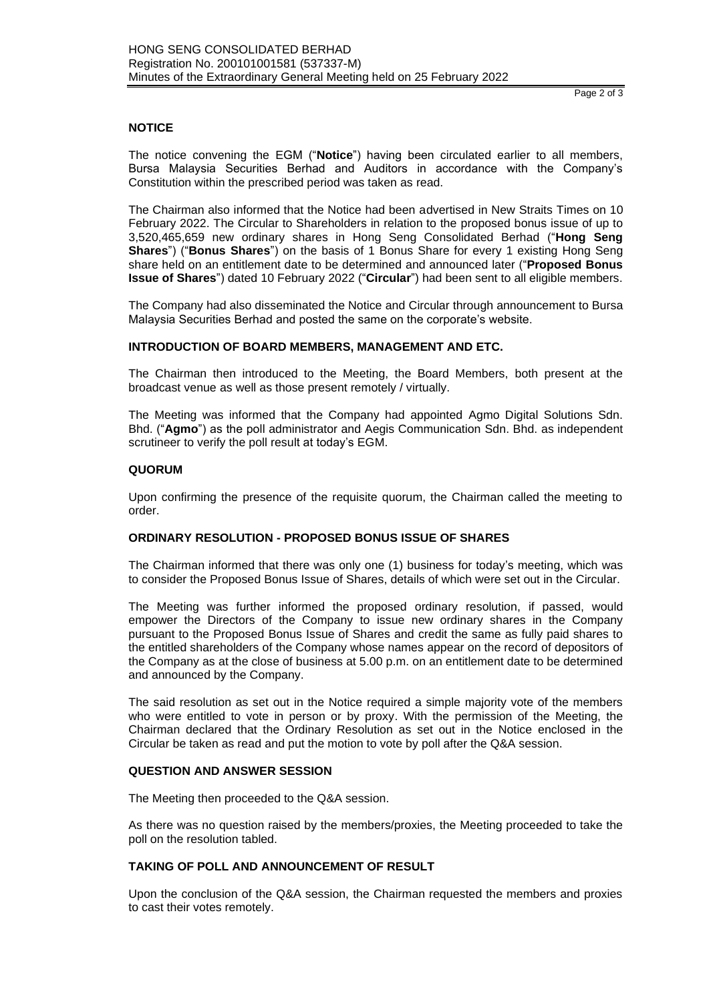# **NOTICE**

The notice convening the EGM ("**Notice**") having been circulated earlier to all members, Bursa Malaysia Securities Berhad and Auditors in accordance with the Company's Constitution within the prescribed period was taken as read.

The Chairman also informed that the Notice had been advertised in New Straits Times on 10 February 2022. The Circular to Shareholders in relation to the proposed bonus issue of up to 3,520,465,659 new ordinary shares in Hong Seng Consolidated Berhad ("**Hong Seng Shares**") ("**Bonus Shares**") on the basis of 1 Bonus Share for every 1 existing Hong Seng share held on an entitlement date to be determined and announced later ("**Proposed Bonus Issue of Shares**") dated 10 February 2022 ("**Circular**") had been sent to all eligible members.

The Company had also disseminated the Notice and Circular through announcement to Bursa Malaysia Securities Berhad and posted the same on the corporate's website.

## **INTRODUCTION OF BOARD MEMBERS, MANAGEMENT AND ETC.**

The Chairman then introduced to the Meeting, the Board Members, both present at the broadcast venue as well as those present remotely / virtually.

The Meeting was informed that the Company had appointed Agmo Digital Solutions Sdn. Bhd. ("**Agmo**") as the poll administrator and Aegis Communication Sdn. Bhd. as independent scrutineer to verify the poll result at today's EGM.

#### **QUORUM**

Upon confirming the presence of the requisite quorum, the Chairman called the meeting to order.

## **ORDINARY RESOLUTION - PROPOSED BONUS ISSUE OF SHARES**

The Chairman informed that there was only one (1) business for today's meeting, which was to consider the Proposed Bonus Issue of Shares, details of which were set out in the Circular.

The Meeting was further informed the proposed ordinary resolution, if passed, would empower the Directors of the Company to issue new ordinary shares in the Company pursuant to the Proposed Bonus Issue of Shares and credit the same as fully paid shares to the entitled shareholders of the Company whose names appear on the record of depositors of the Company as at the close of business at 5.00 p.m. on an entitlement date to be determined and announced by the Company.

The said resolution as set out in the Notice required a simple majority vote of the members who were entitled to vote in person or by proxy. With the permission of the Meeting, the Chairman declared that the Ordinary Resolution as set out in the Notice enclosed in the Circular be taken as read and put the motion to vote by poll after the Q&A session.

#### **QUESTION AND ANSWER SESSION**

The Meeting then proceeded to the Q&A session.

As there was no question raised by the members/proxies, the Meeting proceeded to take the poll on the resolution tabled.

# **TAKING OF POLL AND ANNOUNCEMENT OF RESULT**

Upon the conclusion of the Q&A session, the Chairman requested the members and proxies to cast their votes remotely.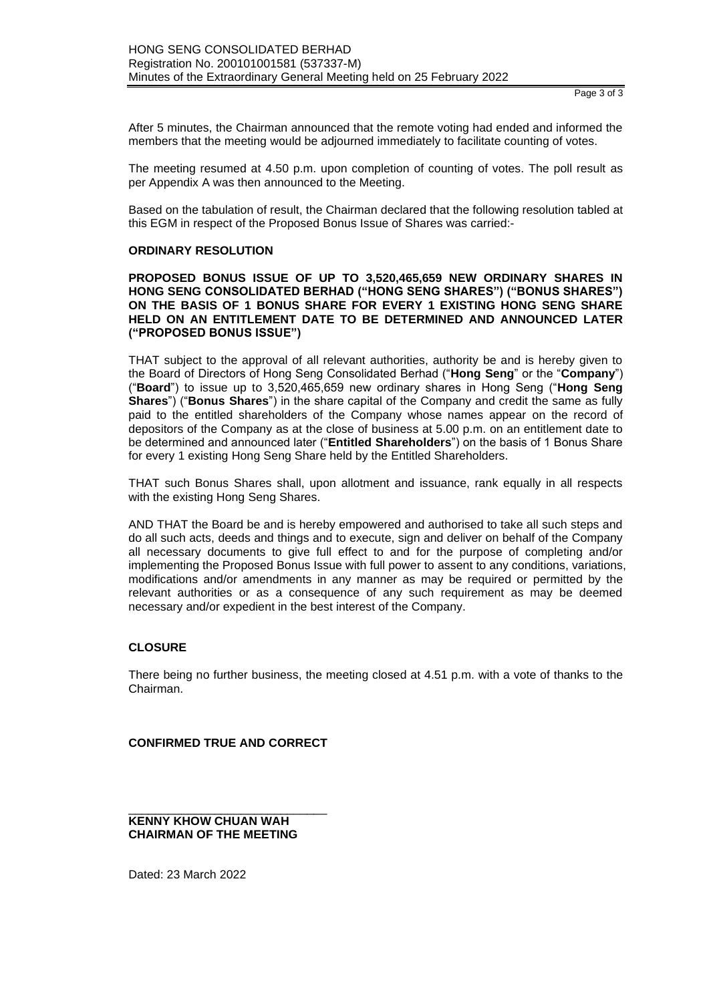After 5 minutes, the Chairman announced that the remote voting had ended and informed the members that the meeting would be adjourned immediately to facilitate counting of votes.

The meeting resumed at 4.50 p.m. upon completion of counting of votes. The poll result as per Appendix A was then announced to the Meeting.

Based on the tabulation of result, the Chairman declared that the following resolution tabled at this EGM in respect of the Proposed Bonus Issue of Shares was carried:-

#### **ORDINARY RESOLUTION**

**PROPOSED BONUS ISSUE OF UP TO 3,520,465,659 NEW ORDINARY SHARES IN HONG SENG CONSOLIDATED BERHAD ("HONG SENG SHARES") ("BONUS SHARES") ON THE BASIS OF 1 BONUS SHARE FOR EVERY 1 EXISTING HONG SENG SHARE HELD ON AN ENTITLEMENT DATE TO BE DETERMINED AND ANNOUNCED LATER ("PROPOSED BONUS ISSUE")**

THAT subject to the approval of all relevant authorities, authority be and is hereby given to the Board of Directors of Hong Seng Consolidated Berhad ("**Hong Seng**" or the "**Company**") ("**Board**") to issue up to 3,520,465,659 new ordinary shares in Hong Seng ("**Hong Seng Shares**") ("**Bonus Shares**") in the share capital of the Company and credit the same as fully paid to the entitled shareholders of the Company whose names appear on the record of depositors of the Company as at the close of business at 5.00 p.m. on an entitlement date to be determined and announced later ("**Entitled Shareholders**") on the basis of 1 Bonus Share for every 1 existing Hong Seng Share held by the Entitled Shareholders.

THAT such Bonus Shares shall, upon allotment and issuance, rank equally in all respects with the existing Hong Seng Shares.

AND THAT the Board be and is hereby empowered and authorised to take all such steps and do all such acts, deeds and things and to execute, sign and deliver on behalf of the Company all necessary documents to give full effect to and for the purpose of completing and/or implementing the Proposed Bonus Issue with full power to assent to any conditions, variations, modifications and/or amendments in any manner as may be required or permitted by the relevant authorities or as a consequence of any such requirement as may be deemed necessary and/or expedient in the best interest of the Company.

## **CLOSURE**

There being no further business, the meeting closed at 4.51 p.m. with a vote of thanks to the Chairman.

**CONFIRMED TRUE AND CORRECT**

\_\_\_\_\_\_\_\_\_\_\_\_\_\_\_\_\_\_\_\_\_\_\_\_\_\_\_\_\_\_ **KENNY KHOW CHUAN WAH CHAIRMAN OF THE MEETING**

Dated: 23 March 2022